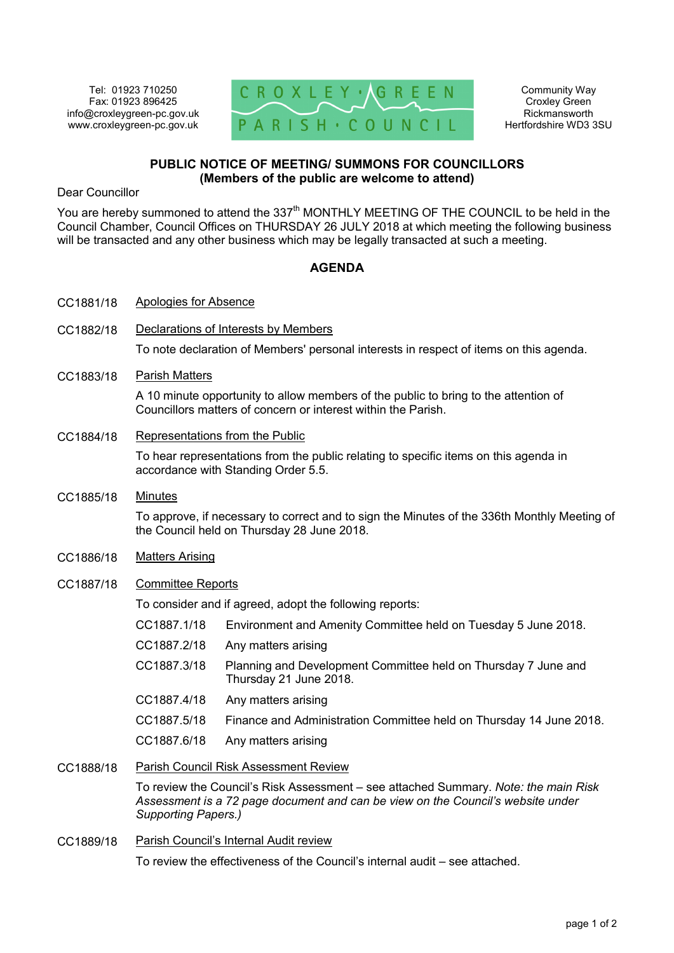Tel: 01923 710250 Fax: 01923 896425 info@croxleygreen-pc.gov.uk www.croxleygreen-pc.gov.uk



Community Way Croxley Green Rickmansworth Hertfordshire WD3 3SU

## **PUBLIC NOTICE OF MEETING/ SUMMONS FOR COUNCILLORS (Members of the public are welcome to attend)**

Dear Councillor

You are hereby summoned to attend the 337<sup>th</sup> MONTHLY MEETING OF THE COUNCIL to be held in the Council Chamber, Council Offices on THURSDAY 26 JULY 2018 at which meeting the following business will be transacted and any other business which may be legally transacted at such a meeting.

## **AGENDA**

| CC1881/18 | <b>Apologies for Absence</b>                                                                                                                                                                  |                                                                                          |
|-----------|-----------------------------------------------------------------------------------------------------------------------------------------------------------------------------------------------|------------------------------------------------------------------------------------------|
| CC1882/18 | Declarations of Interests by Members                                                                                                                                                          |                                                                                          |
|           | To note declaration of Members' personal interests in respect of items on this agenda.                                                                                                        |                                                                                          |
| CC1883/18 | <b>Parish Matters</b>                                                                                                                                                                         |                                                                                          |
|           | A 10 minute opportunity to allow members of the public to bring to the attention of<br>Councillors matters of concern or interest within the Parish.                                          |                                                                                          |
| CC1884/18 | Representations from the Public                                                                                                                                                               |                                                                                          |
|           | To hear representations from the public relating to specific items on this agenda in<br>accordance with Standing Order 5.5.                                                                   |                                                                                          |
| CC1885/18 | <b>Minutes</b>                                                                                                                                                                                |                                                                                          |
|           | To approve, if necessary to correct and to sign the Minutes of the 336th Monthly Meeting of<br>the Council held on Thursday 28 June 2018.                                                     |                                                                                          |
| CC1886/18 | <b>Matters Arising</b>                                                                                                                                                                        |                                                                                          |
| CC1887/18 | <b>Committee Reports</b>                                                                                                                                                                      |                                                                                          |
|           | To consider and if agreed, adopt the following reports:                                                                                                                                       |                                                                                          |
|           | CC1887.1/18                                                                                                                                                                                   | Environment and Amenity Committee held on Tuesday 5 June 2018.                           |
|           | CC1887.2/18                                                                                                                                                                                   | Any matters arising                                                                      |
|           | CC1887.3/18                                                                                                                                                                                   | Planning and Development Committee held on Thursday 7 June and<br>Thursday 21 June 2018. |
|           | CC1887.4/18                                                                                                                                                                                   | Any matters arising                                                                      |
|           | CC1887.5/18                                                                                                                                                                                   | Finance and Administration Committee held on Thursday 14 June 2018.                      |
|           | CC1887.6/18                                                                                                                                                                                   | Any matters arising                                                                      |
| CC1888/18 | <b>Parish Council Risk Assessment Review</b>                                                                                                                                                  |                                                                                          |
|           | To review the Council's Risk Assessment – see attached Summary. Note: the main Risk<br>Assessment is a 72 page document and can be view on the Council's website under<br>Supporting Papers.) |                                                                                          |
| CC1889/18 | Parish Council's Internal Audit review                                                                                                                                                        |                                                                                          |

To review the effectiveness of the Council's internal audit – see attached.